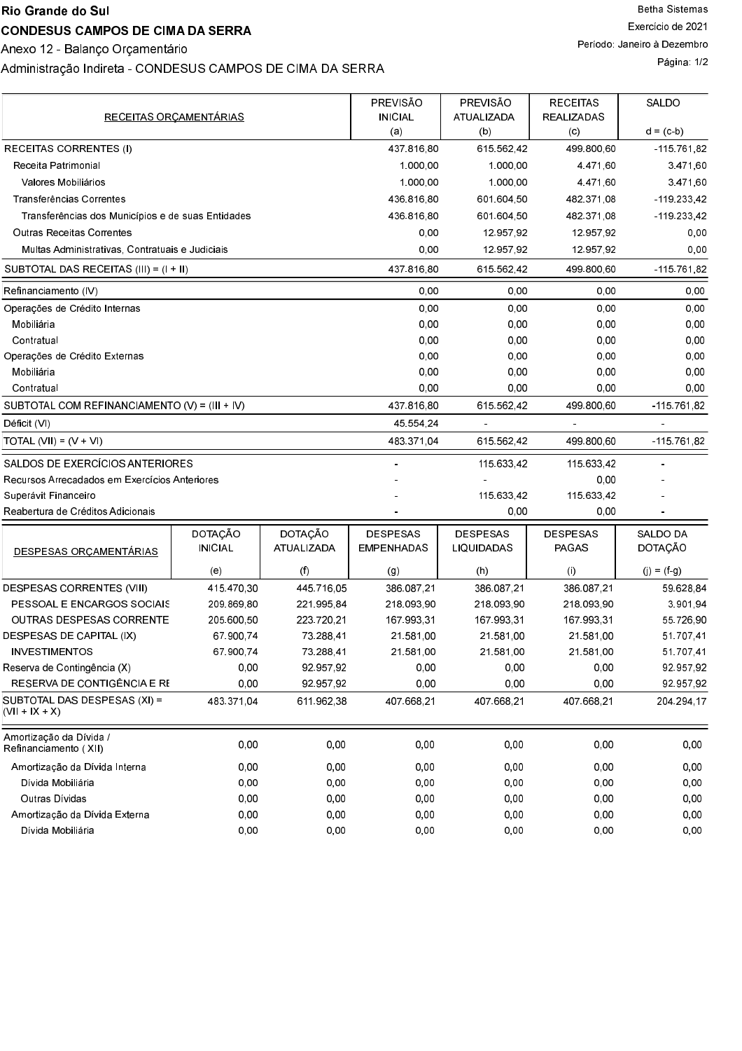### Rio Grande do Sul

## **CONDESUS CAMPOS DE CIMA DA SERRA**

Anexo 12 - Balanço Orçamentário

# Administração Indireta - CONDESUS CAMPOS DE CIMA DA SERRA

|                                                   |                |                | PREVISÃO          | PREVISÃO          | <b>RECEITAS</b> | SALDO           |
|---------------------------------------------------|----------------|----------------|-------------------|-------------------|-----------------|-----------------|
| RECEITAS ORÇAMENTÁRIAS                            |                | <b>INICIAL</b> | <b>ATUALIZADA</b> | <b>REALIZADAS</b> |                 |                 |
|                                                   |                |                | (a)               | (b)               | (c)             | $d = (c - b)$   |
| RECEITAS CORRENTES (I)                            |                |                | 437 816 80        | 615 562 42        | 499 800 60      | -115 761 82     |
| Receita Patrimonial                               |                |                | 1.000.00          | 1.000.00          | 4 4 7 1 6 0     | 3.471,60        |
| Valores Mobiliários                               |                |                | 1.000,00          | 1.000.00          | 4.471,60        | 3.471,60        |
| Transferências Correntes                          |                |                | 43681680          | 601 604 50        | 482 371 08      | $-119.233.42$   |
| Transferências dos Municípios e de suas Entidades |                |                | 436.816.80        | 601 604 50        | 482 371 08      | -119 233 42     |
| <b>Outras Receitas Correntes</b>                  |                |                | 0,00              | 12.957.92         | 12 957 92       | 0.00            |
| Multas Administrativas, Contratuais e Judiciais   |                |                | 0.00              | 12 957 92         | 12 957 92       | 0.00            |
| SUBTOTAL DAS RECEITAS $(III) = (I + II)$          |                |                | 437 816 80        | 615 562 42        | 499 800 60      | -115 761 82     |
| Refinanciamento (IV)                              |                |                | 0.00              | 0.00              | 0.00            | 0.00            |
| Operações de Crédito Internas                     |                |                | 0,00              | 0.00              | 0.00            | 0.00            |
| Mobiliária                                        |                |                | 0,00              | 0.00              | 0,00            | 0,00            |
| Contratual                                        |                |                | 0,00              | 0.00              | 0,00            | 0,00            |
| Operações de Crédito Externas                     |                |                | 0,00              | 0,00              | 0,00            | 0,00            |
| Mobiliária                                        |                |                | 0,00              | 0,00              | 0,00            | 0,00            |
| Contratual                                        |                |                | 0.00              | 0.00              | 0.00            | 0.00            |
| SUBTOTAL COM REFINANCIAMENTO $(V) = (III + IV)$   |                |                | 437 816 80        | 615 562 42        | 499.800,60      | $-115.761.82$   |
| Déficit (VI)                                      |                |                | 45 554 24         |                   |                 |                 |
| $\overline{A}$ TOTAL (VII) = (V + VI)             |                |                | 483 371 04        | 615 562 42        | 499 800 60      | -115 761 82     |
| SALDOS DE EXERCÍCIOS ANTERIORES                   |                |                |                   | 115.633,42        | 115 633 42      |                 |
| Recursos Arrecadados em Exercícios Anteriores     |                |                |                   |                   | 0,00            |                 |
| Superávit Financeiro                              |                |                |                   | 115 633 42        | 115 633 42      |                 |
| Reabertura de Créditos Adicionais                 |                |                |                   | 0.00              | 0,00            |                 |
|                                                   | DOTAÇÃO        | DOTAÇÃO        | <b>DESPESAS</b>   | <b>DESPESAS</b>   | DESPESAS        | SALDO DA        |
| DESPESAS ORÇAMENTÁRIAS                            | <b>INICIAL</b> | ATUALIZADA     | <b>EMPENHADAS</b> | LIQUIDADAS        | <b>PAGAS</b>    | DOTAÇÃO         |
|                                                   | (e)            | (f)            | (g)               | (h)               | (i)             | $(j) = (f - g)$ |
| DESPESAS CORRENTES (VIII)                         | 415 470 30     | 445 716 05     | 386.087,21        | 386 087,21        | 386.087,21      | 59 628 84       |
| PESSOAL E ENCARGOS SOCIAIS                        | 209 869 80     | 221 995 84     | 218 093 90        | 218.093.90        | 218 093 90      | 3 901 94        |
| OUTRAS DESPESAS CORRENTE                          | 205 600 50     | 223 720 21     | 167 993 31        | 167 993 31        | 167 993 31      | 55 726 90       |
| DESPESAS DE CAPITAL (IX)                          | 67 900 74      | 73.288,41      | 21.581,00         | 21.581.00         | 21.581.00       | 51 707 41       |
| <b>INVESTIMENTOS</b>                              | 67 900 74      | 73.288.41      | 21 581 00         | 21.581.00         | 21 581 00       | 51.707.41       |
| Reserva de Contingência (X)                       | 0,00           | 92 957 92      | 0,00              | 0,00              | 0,00            | 92 957 92       |
| RESERVA DE CONTIGÊNCIA E RE                       | 0,00           | 92.957,92      | 0,00              | 0,00              | 0,00            | 92.957,92       |
| SUBTOTAL DAS DESPESAS (XI) =<br>$(VII + IX + X)$  | 483 371 04     | 611 962 38     | 407 668 21        | 407 668,21        | 407 668 21      | 204 294 17      |
| Amortização da Dívida /<br>Refinanciamento (XII)  | 0.00           | 0,00           | 0,00              | 0,00              | 0.00            | 0,00            |
| Amortização da Dívida Interna                     | 0,00           | 0,00           | 0,00              | 0,00              | 0.00            | 0,00            |
| Dívida Mobiliária                                 | 0,00           | 0,00           | 0,00              | 0,00              | 0,00            | 0,00            |
| Outras Dívidas                                    | 0,00           | 0,00           | 0,00              | 0,00              | 0,00            | 0,00            |
| Amortização da Dívida Externa                     | 0,00           | 0,00           | 0,00              | 0,00              | 0,00            | 0,00            |
| Dívida Mobiliária                                 | 0,00           | 0,00           | 0,00              | 0,00              | 0,00            | 0,00            |